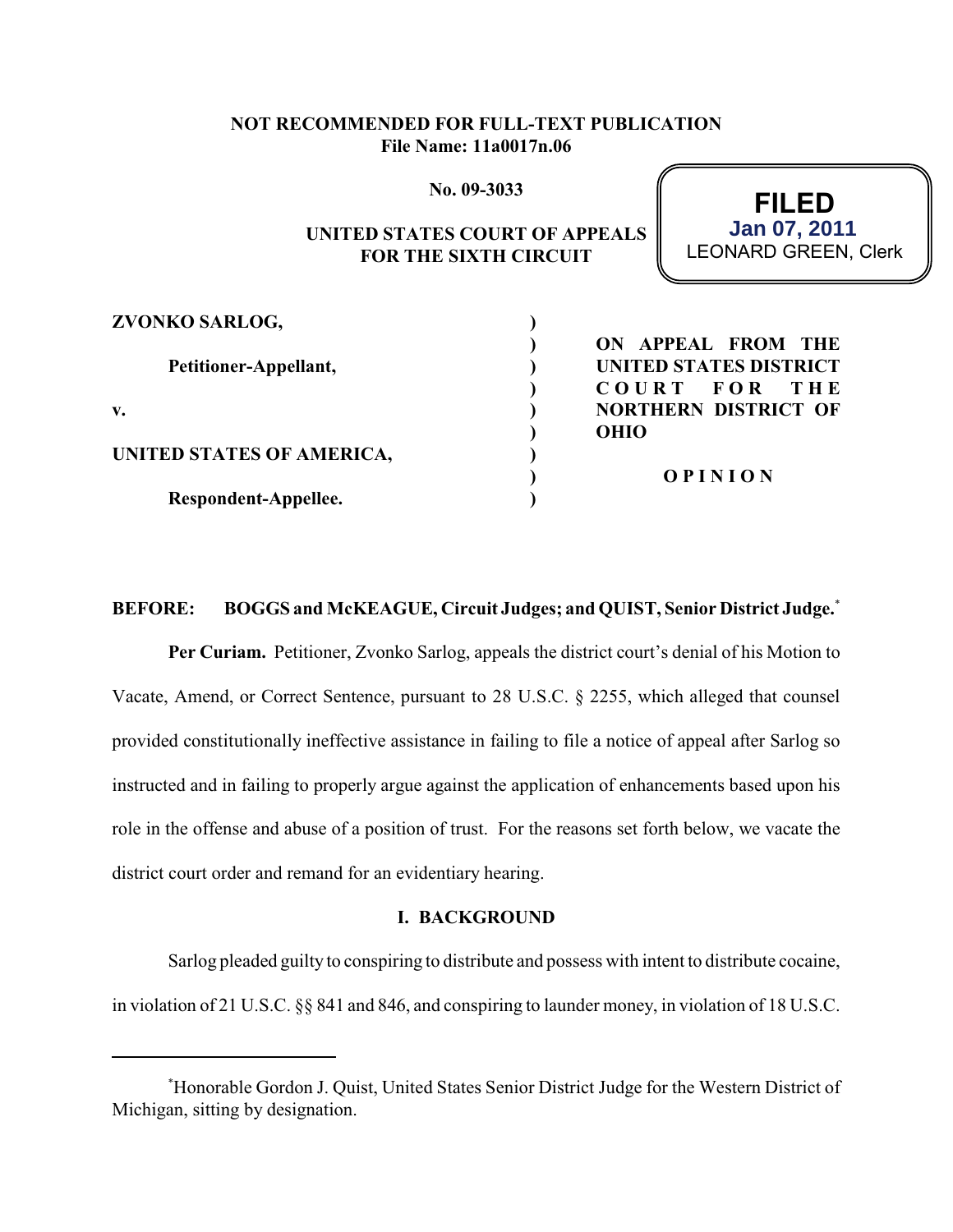## **NOT RECOMMENDED FOR FULL-TEXT PUBLICATION File Name: 11a0017n.06**

**No. 09-3033**

# **UNITED STATES COURT OF APPEALS FOR THE SIXTH CIRCUIT**

**FILED** LEONARD GREEN, Clerk **Jan 07, 2011**

| ZVONKO SARLOG,            |                             |
|---------------------------|-----------------------------|
|                           | ON APPEAL FROM THE          |
| Petitioner-Appellant,     | UNITED STATES DISTRICT      |
|                           | COURT FOR<br>TH E           |
| $\mathbf{v}$ .            | <b>NORTHERN DISTRICT OF</b> |
|                           | <b>OHIO</b>                 |
| UNITED STATES OF AMERICA, |                             |
|                           | <b>OPINION</b>              |
| Respondent-Appellee.      |                             |

## **BEFORE: BOGGS and McKEAGUE, Circuit Judges; and QUIST, Senior District Judge.**\*

**Per Curiam.** Petitioner, Zvonko Sarlog, appeals the district court's denial of his Motion to Vacate, Amend, or Correct Sentence, pursuant to 28 U.S.C. § 2255, which alleged that counsel provided constitutionally ineffective assistance in failing to file a notice of appeal after Sarlog so instructed and in failing to properly argue against the application of enhancements based upon his role in the offense and abuse of a position of trust. For the reasons set forth below, we vacate the district court order and remand for an evidentiary hearing.

### **I. BACKGROUND**

Sarlog pleaded guilty to conspiring to distribute and possess with intent to distribute cocaine, in violation of 21 U.S.C. §§ 841 and 846, and conspiring to launder money, in violation of 18 U.S.C.

Honorable Gordon J. Quist, United States Senior District Judge for the Western District of \* Michigan, sitting by designation.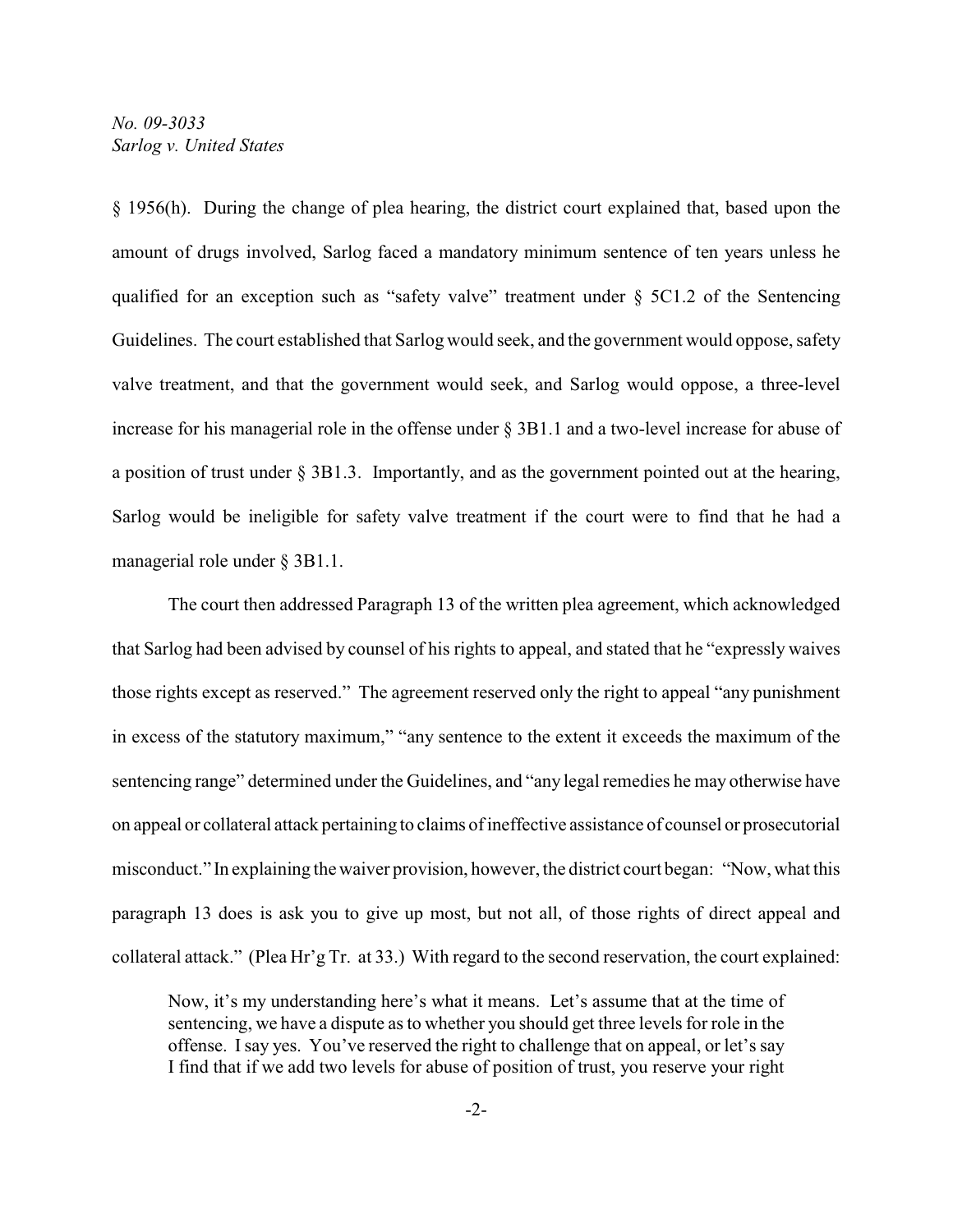§ 1956(h). During the change of plea hearing, the district court explained that, based upon the amount of drugs involved, Sarlog faced a mandatory minimum sentence of ten years unless he qualified for an exception such as "safety valve" treatment under § 5C1.2 of the Sentencing Guidelines. The court established that Sarlog would seek, and the government would oppose, safety valve treatment, and that the government would seek, and Sarlog would oppose, a three-level increase for his managerial role in the offense under § 3B1.1 and a two-level increase for abuse of a position of trust under § 3B1.3. Importantly, and as the government pointed out at the hearing, Sarlog would be ineligible for safety valve treatment if the court were to find that he had a managerial role under § 3B1.1.

The court then addressed Paragraph 13 of the written plea agreement, which acknowledged that Sarlog had been advised by counsel of his rights to appeal, and stated that he "expressly waives those rights except as reserved." The agreement reserved only the right to appeal "any punishment in excess of the statutory maximum," "any sentence to the extent it exceeds the maximum of the sentencing range" determined under the Guidelines, and "any legal remedies he may otherwise have on appeal or collateral attack pertaining to claims of ineffective assistance of counsel or prosecutorial misconduct." In explaining the waiver provision, however, the district court began: "Now, what this paragraph 13 does is ask you to give up most, but not all, of those rights of direct appeal and collateral attack." (Plea Hr'g Tr. at 33.) With regard to the second reservation, the court explained:

Now, it's my understanding here's what it means. Let's assume that at the time of sentencing, we have a dispute as to whether you should get three levels for role in the offense. I say yes. You've reserved the right to challenge that on appeal, or let's say I find that if we add two levels for abuse of position of trust, you reserve your right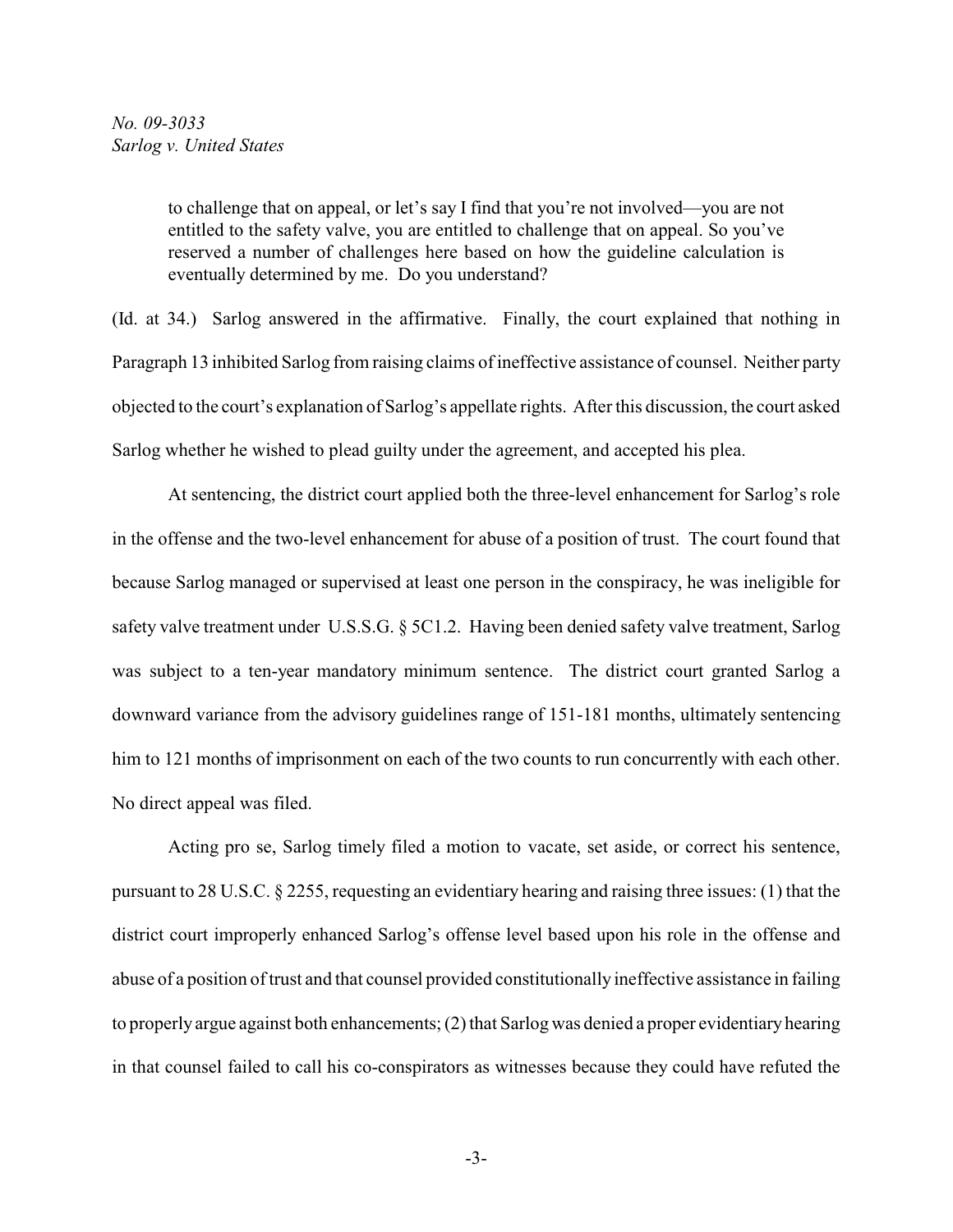to challenge that on appeal, or let's say I find that you're not involved—you are not entitled to the safety valve, you are entitled to challenge that on appeal. So you've reserved a number of challenges here based on how the guideline calculation is eventually determined by me. Do you understand?

(Id. at 34.) Sarlog answered in the affirmative. Finally, the court explained that nothing in Paragraph 13 inhibited Sarlog from raising claims of ineffective assistance of counsel. Neither party objected to the court's explanation of Sarlog's appellate rights. After this discussion, the court asked Sarlog whether he wished to plead guilty under the agreement, and accepted his plea.

At sentencing, the district court applied both the three-level enhancement for Sarlog's role in the offense and the two-level enhancement for abuse of a position of trust. The court found that because Sarlog managed or supervised at least one person in the conspiracy, he was ineligible for safety valve treatment under U.S.S.G. § 5C1.2. Having been denied safety valve treatment, Sarlog was subject to a ten-year mandatory minimum sentence. The district court granted Sarlog a downward variance from the advisory guidelines range of 151-181 months, ultimately sentencing him to 121 months of imprisonment on each of the two counts to run concurrently with each other. No direct appeal was filed.

Acting pro se, Sarlog timely filed a motion to vacate, set aside, or correct his sentence, pursuant to 28 U.S.C. § 2255, requesting an evidentiary hearing and raising three issues: (1) that the district court improperly enhanced Sarlog's offense level based upon his role in the offense and abuse of a position of trust and that counsel provided constitutionally ineffective assistance in failing to properlyargue against both enhancements; (2) that Sarlog was denied a proper evidentiary hearing in that counsel failed to call his co-conspirators as witnesses because they could have refuted the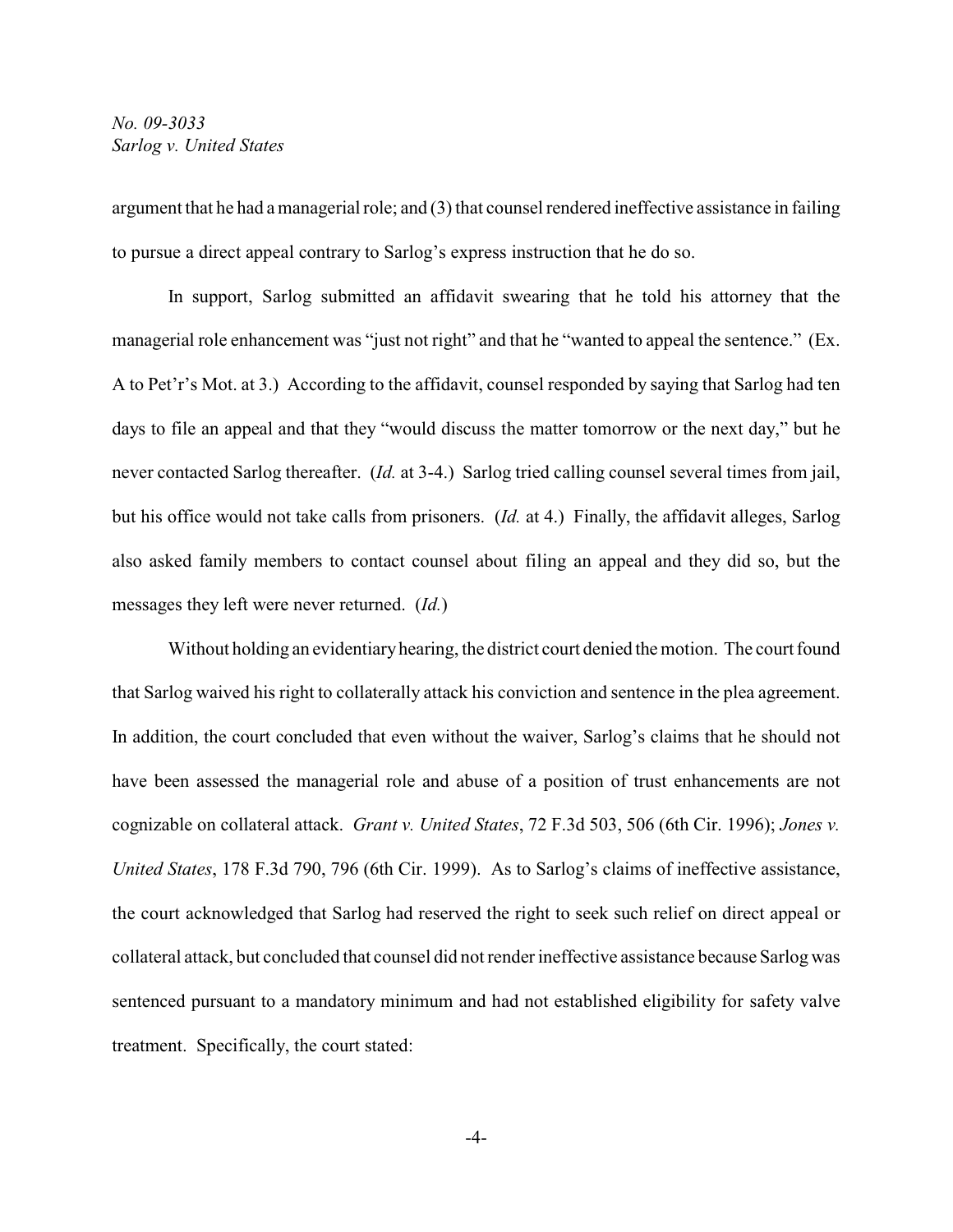argument that he had a managerial role; and (3) that counsel rendered ineffective assistance in failing to pursue a direct appeal contrary to Sarlog's express instruction that he do so.

In support, Sarlog submitted an affidavit swearing that he told his attorney that the managerial role enhancement was "just not right" and that he "wanted to appeal the sentence." (Ex. A to Pet'r's Mot. at 3.) According to the affidavit, counsel responded by saying that Sarlog had ten days to file an appeal and that they "would discuss the matter tomorrow or the next day," but he never contacted Sarlog thereafter. (*Id.* at 3-4.) Sarlog tried calling counsel several times from jail, but his office would not take calls from prisoners. (*Id.* at 4.) Finally, the affidavit alleges, Sarlog also asked family members to contact counsel about filing an appeal and they did so, but the messages they left were never returned. (*Id.*)

Without holding an evidentiary hearing, the district court denied the motion. The court found that Sarlog waived his right to collaterally attack his conviction and sentence in the plea agreement. In addition, the court concluded that even without the waiver, Sarlog's claims that he should not have been assessed the managerial role and abuse of a position of trust enhancements are not cognizable on collateral attack. *Grant v. United States*, 72 F.3d 503, 506 (6th Cir. 1996); *Jones v. United States*, 178 F.3d 790, 796 (6th Cir. 1999). As to Sarlog's claims of ineffective assistance, the court acknowledged that Sarlog had reserved the right to seek such relief on direct appeal or collateral attack, but concluded that counsel did not render ineffective assistance because Sarlog was sentenced pursuant to a mandatory minimum and had not established eligibility for safety valve treatment. Specifically, the court stated: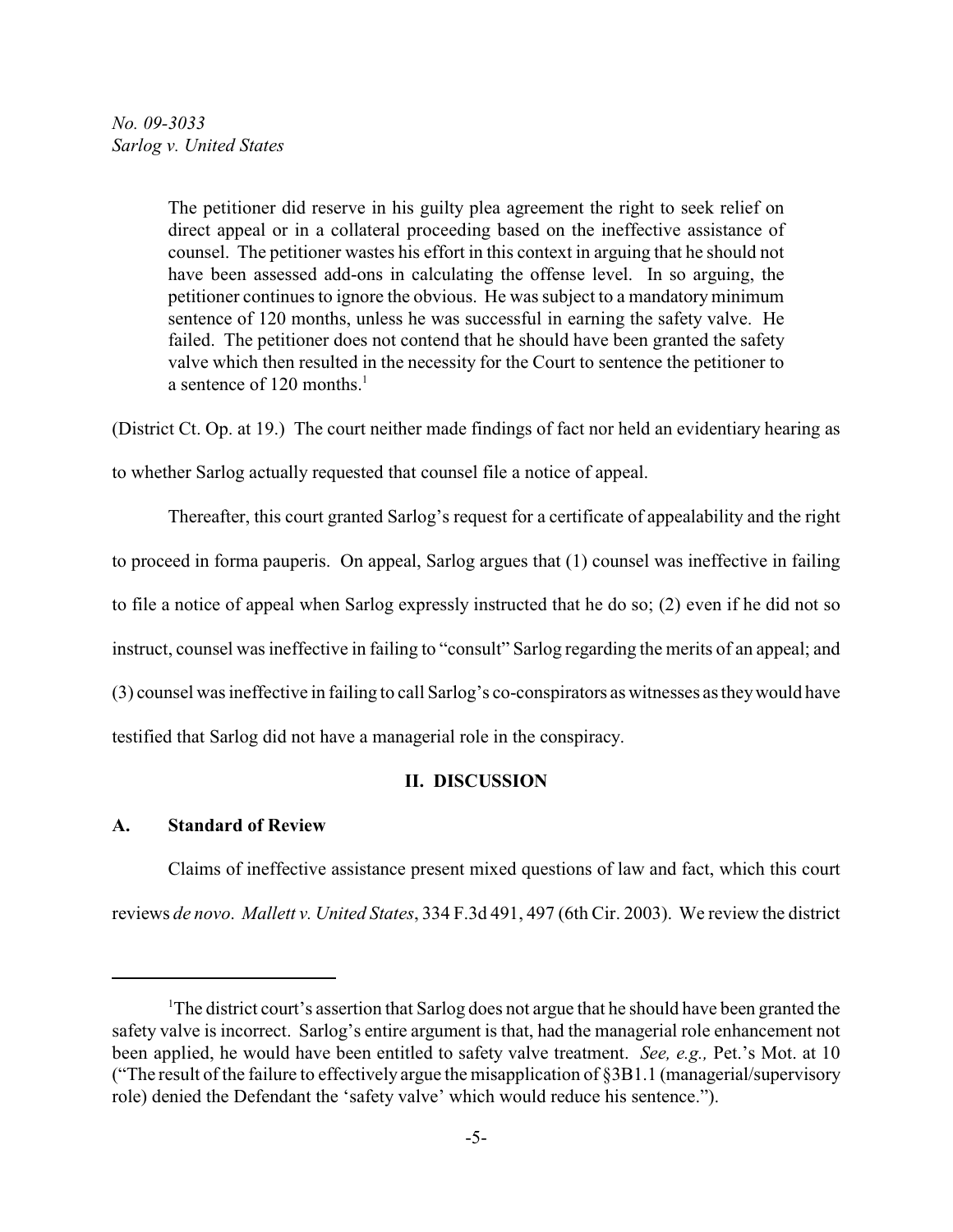The petitioner did reserve in his guilty plea agreement the right to seek relief on direct appeal or in a collateral proceeding based on the ineffective assistance of counsel. The petitioner wastes his effort in this context in arguing that he should not have been assessed add-ons in calculating the offense level. In so arguing, the petitioner continues to ignore the obvious. He was subject to a mandatory minimum sentence of 120 months, unless he was successful in earning the safety valve. He failed. The petitioner does not contend that he should have been granted the safety valve which then resulted in the necessity for the Court to sentence the petitioner to a sentence of 120 months.<sup>1</sup>

(District Ct. Op. at 19.) The court neither made findings of fact nor held an evidentiary hearing as to whether Sarlog actually requested that counsel file a notice of appeal.

Thereafter, this court granted Sarlog's request for a certificate of appealability and the right to proceed in forma pauperis. On appeal, Sarlog argues that (1) counsel was ineffective in failing to file a notice of appeal when Sarlog expressly instructed that he do so; (2) even if he did not so instruct, counsel was ineffective in failing to "consult" Sarlog regarding the merits of an appeal; and (3) counsel was ineffective in failing to call Sarlog's co-conspirators as witnesses as theywould have testified that Sarlog did not have a managerial role in the conspiracy.

## **II. DISCUSSION**

# **A. Standard of Review**

Claims of ineffective assistance present mixed questions of law and fact, which this court reviews *de novo*. *Mallett v. United States*, 334 F.3d 491, 497 (6th Cir. 2003). We review the district

<sup>&</sup>lt;sup>1</sup>The district court's assertion that Sarlog does not argue that he should have been granted the safety valve is incorrect. Sarlog's entire argument is that, had the managerial role enhancement not been applied, he would have been entitled to safety valve treatment. *See, e.g.,* Pet.'s Mot. at 10 ("The result of the failure to effectively argue the misapplication of §3B1.1 (managerial/supervisory role) denied the Defendant the 'safety valve' which would reduce his sentence.").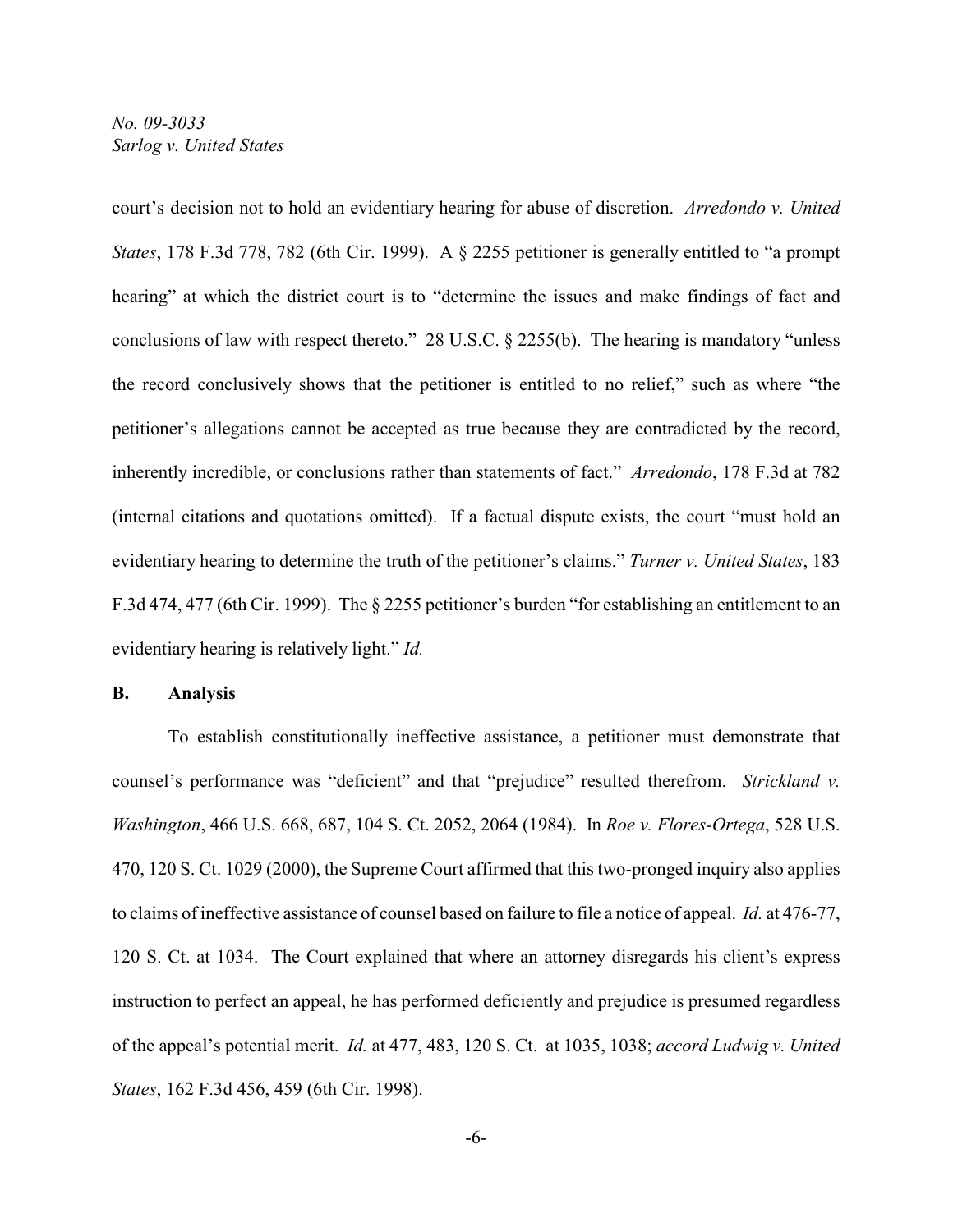court's decision not to hold an evidentiary hearing for abuse of discretion. *Arredondo v. United States*, 178 F.3d 778, 782 (6th Cir. 1999). A § 2255 petitioner is generally entitled to "a prompt hearing" at which the district court is to "determine the issues and make findings of fact and conclusions of law with respect thereto." 28 U.S.C. § 2255(b). The hearing is mandatory "unless the record conclusively shows that the petitioner is entitled to no relief," such as where "the petitioner's allegations cannot be accepted as true because they are contradicted by the record, inherently incredible, or conclusions rather than statements of fact." *Arredondo*, 178 F.3d at 782 (internal citations and quotations omitted). If a factual dispute exists, the court "must hold an evidentiary hearing to determine the truth of the petitioner's claims." *Turner v. United States*, 183 F.3d 474, 477 (6th Cir. 1999). The § 2255 petitioner's burden "for establishing an entitlement to an evidentiary hearing is relatively light." *Id.*

#### **B. Analysis**

To establish constitutionally ineffective assistance, a petitioner must demonstrate that counsel's performance was "deficient" and that "prejudice" resulted therefrom. *Strickland v. Washington*, 466 U.S. 668, 687, 104 S. Ct. 2052, 2064 (1984). In *Roe v. Flores-Ortega*, 528 U.S. 470, 120 S. Ct. 1029 (2000), the Supreme Court affirmed that this two-pronged inquiry also applies to claims of ineffective assistance of counsel based on failure to file a notice of appeal. *Id.* at 476-77, 120 S. Ct. at 1034. The Court explained that where an attorney disregards his client's express instruction to perfect an appeal, he has performed deficiently and prejudice is presumed regardless of the appeal's potential merit. *Id.* at 477, 483, 120 S. Ct. at 1035, 1038; *accord Ludwig v. United States*, 162 F.3d 456, 459 (6th Cir. 1998).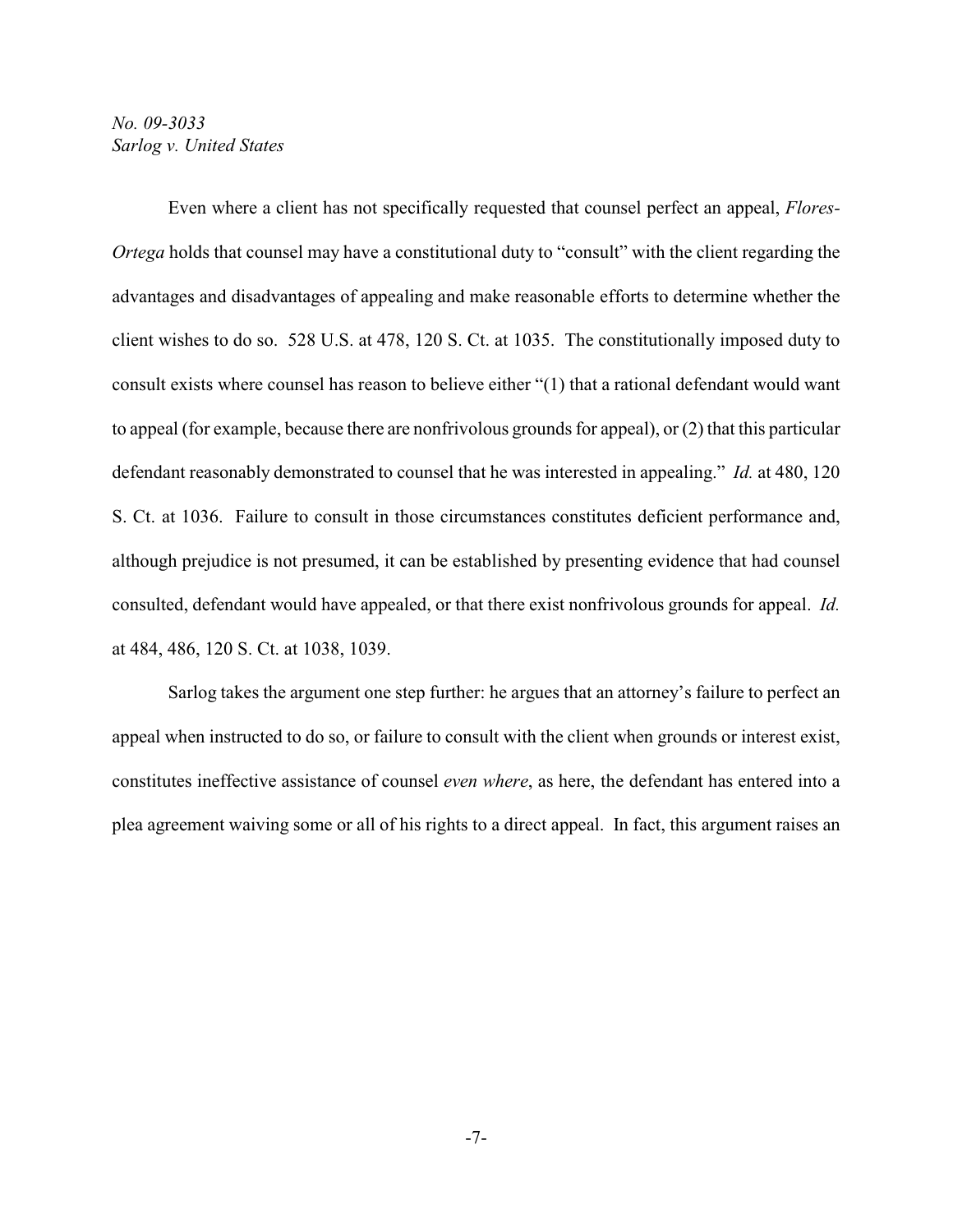Even where a client has not specifically requested that counsel perfect an appeal, *Flores-Ortega* holds that counsel may have a constitutional duty to "consult" with the client regarding the advantages and disadvantages of appealing and make reasonable efforts to determine whether the client wishes to do so. 528 U.S. at 478, 120 S. Ct. at 1035. The constitutionally imposed duty to consult exists where counsel has reason to believe either "(1) that a rational defendant would want to appeal (for example, because there are nonfrivolous grounds for appeal), or (2) that this particular defendant reasonably demonstrated to counsel that he was interested in appealing." *Id.* at 480, 120 S. Ct. at 1036. Failure to consult in those circumstances constitutes deficient performance and, although prejudice is not presumed, it can be established by presenting evidence that had counsel consulted, defendant would have appealed, or that there exist nonfrivolous grounds for appeal. *Id.* at 484, 486, 120 S. Ct. at 1038, 1039.

Sarlog takes the argument one step further: he argues that an attorney's failure to perfect an appeal when instructed to do so, or failure to consult with the client when grounds or interest exist, constitutes ineffective assistance of counsel *even where*, as here, the defendant has entered into a plea agreement waiving some or all of his rights to a direct appeal. In fact, this argument raises an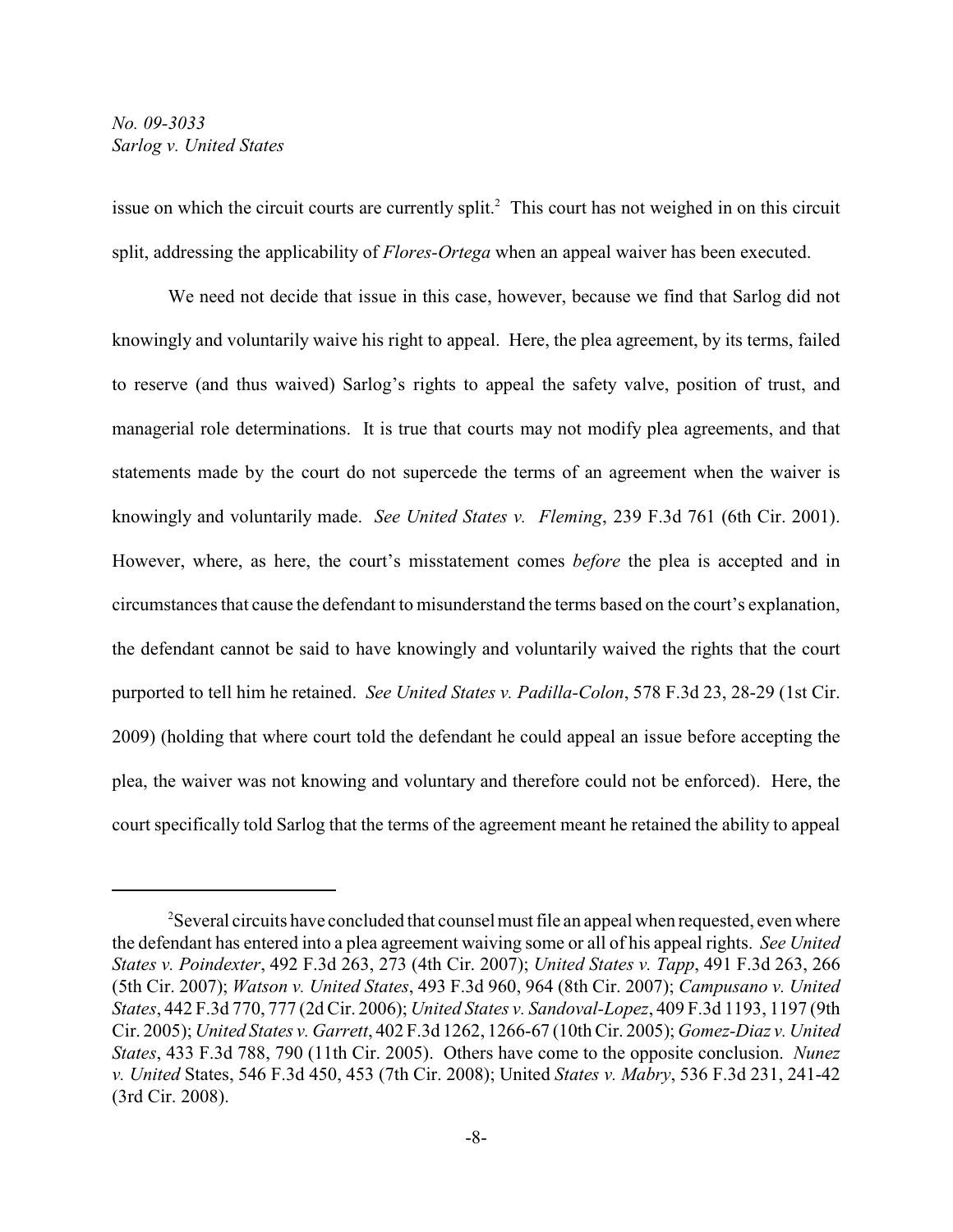issue on which the circuit courts are currently split.<sup>2</sup> This court has not weighed in on this circuit split, addressing the applicability of *Flores-Ortega* when an appeal waiver has been executed.

We need not decide that issue in this case, however, because we find that Sarlog did not knowingly and voluntarily waive his right to appeal. Here, the plea agreement, by its terms, failed to reserve (and thus waived) Sarlog's rights to appeal the safety valve, position of trust, and managerial role determinations. It is true that courts may not modify plea agreements, and that statements made by the court do not supercede the terms of an agreement when the waiver is knowingly and voluntarily made. *See United States v. Fleming*, 239 F.3d 761 (6th Cir. 2001). However, where, as here, the court's misstatement comes *before* the plea is accepted and in circumstances that cause the defendant to misunderstand the terms based on the court's explanation, the defendant cannot be said to have knowingly and voluntarily waived the rights that the court purported to tell him he retained. *See United States v. Padilla-Colon*, 578 F.3d 23, 28-29 (1st Cir. 2009) (holding that where court told the defendant he could appeal an issue before accepting the plea, the waiver was not knowing and voluntary and therefore could not be enforced). Here, the court specifically told Sarlog that the terms of the agreement meant he retained the ability to appeal

<sup>&</sup>lt;sup>2</sup>Several circuits have concluded that counsel must file an appeal when requested, even where the defendant has entered into a plea agreement waiving some or all of his appeal rights. *See United States v. Poindexter*, 492 F.3d 263, 273 (4th Cir. 2007); *United States v. Tapp*, 491 F.3d 263, 266 (5th Cir. 2007); *Watson v. United States*, 493 F.3d 960, 964 (8th Cir. 2007); *Campusano v. United States*, 442 F.3d 770, 777 (2d Cir. 2006); *United States v. Sandoval-Lopez*, 409 F.3d 1193, 1197 (9th Cir. 2005); *United States v. Garrett*, 402 F.3d 1262, 1266-67 (10th Cir. 2005); *Gomez-Diaz v. United States*, 433 F.3d 788, 790 (11th Cir. 2005). Others have come to the opposite conclusion. *Nunez v. United* States, 546 F.3d 450, 453 (7th Cir. 2008); United *States v. Mabry*, 536 F.3d 231, 241-42 (3rd Cir. 2008).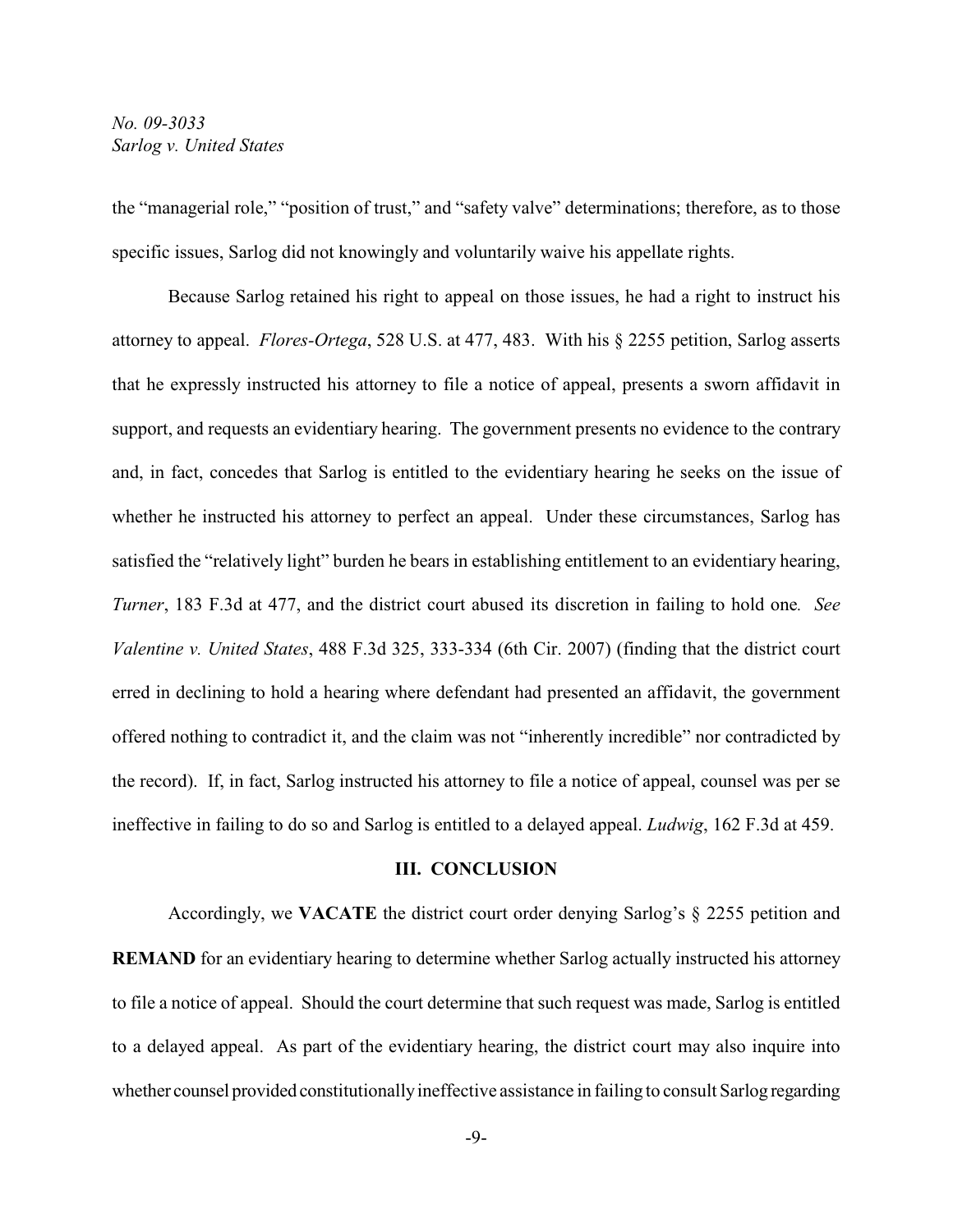the "managerial role," "position of trust," and "safety valve" determinations; therefore, as to those specific issues, Sarlog did not knowingly and voluntarily waive his appellate rights.

Because Sarlog retained his right to appeal on those issues, he had a right to instruct his attorney to appeal. *Flores-Ortega*, 528 U.S. at 477, 483. With his § 2255 petition, Sarlog asserts that he expressly instructed his attorney to file a notice of appeal, presents a sworn affidavit in support, and requests an evidentiary hearing. The government presents no evidence to the contrary and, in fact, concedes that Sarlog is entitled to the evidentiary hearing he seeks on the issue of whether he instructed his attorney to perfect an appeal. Under these circumstances, Sarlog has satisfied the "relatively light" burden he bears in establishing entitlement to an evidentiary hearing, *Turner*, 183 F.3d at 477, and the district court abused its discretion in failing to hold one*. See Valentine v. United States*, 488 F.3d 325, 333-334 (6th Cir. 2007) (finding that the district court erred in declining to hold a hearing where defendant had presented an affidavit, the government offered nothing to contradict it, and the claim was not "inherently incredible" nor contradicted by the record). If, in fact, Sarlog instructed his attorney to file a notice of appeal, counsel was per se ineffective in failing to do so and Sarlog is entitled to a delayed appeal. *Ludwig*, 162 F.3d at 459.

#### **III. CONCLUSION**

Accordingly, we **VACATE** the district court order denying Sarlog's § 2255 petition and **REMAND** for an evidentiary hearing to determine whether Sarlog actually instructed his attorney to file a notice of appeal. Should the court determine that such request was made, Sarlog is entitled to a delayed appeal. As part of the evidentiary hearing, the district court may also inquire into whether counsel provided constitutionally ineffective assistance in failing to consult Sarlog regarding